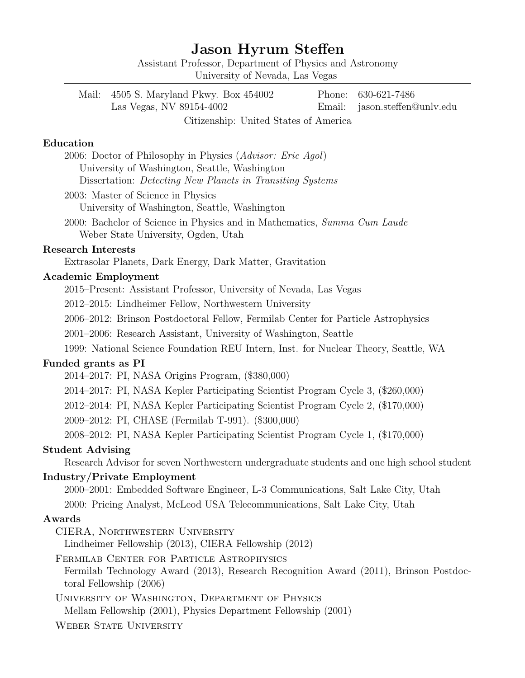# Jason Hyrum Steffen

Assistant Professor, Department of Physics and Astronomy University of Nevada, Las Vegas

| Mail: 4505 S. Maryland Pkwy. Box 454002 | Phone: 630-621-7486           |
|-----------------------------------------|-------------------------------|
| Las Vegas, NV 89154-4002                | Email: jason.steffen@unlv.edu |
| Citizenship: United States of America   |                               |

# Education

2006: Doctor of Philosophy in Physics (Advisor: Eric Agol) University of Washington, Seattle, Washington Dissertation: Detecting New Planets in Transiting Systems

2003: Master of Science in Physics University of Washington, Seattle, Washington

2000: Bachelor of Science in Physics and in Mathematics, Summa Cum Laude Weber State University, Ogden, Utah

## Research Interests

Extrasolar Planets, Dark Energy, Dark Matter, Gravitation

#### Academic Employment

2015–Present: Assistant Professor, University of Nevada, Las Vegas

2012–2015: Lindheimer Fellow, Northwestern University

2006–2012: Brinson Postdoctoral Fellow, Fermilab Center for Particle Astrophysics

2001–2006: Research Assistant, University of Washington, Seattle

1999: National Science Foundation REU Intern, Inst. for Nuclear Theory, Seattle, WA

### Funded grants as PI

2014–2017: PI, NASA Origins Program, (\$380,000)

2014–2017: PI, NASA Kepler Participating Scientist Program Cycle 3, (\$260,000)

2012–2014: PI, NASA Kepler Participating Scientist Program Cycle 2, (\$170,000)

2009–2012: PI, CHASE (Fermilab T-991). (\$300,000)

2008–2012: PI, NASA Kepler Participating Scientist Program Cycle 1, (\$170,000)

#### Student Advising

Research Advisor for seven Northwestern undergraduate students and one high school student

### Industry/Private Employment

2000–2001: Embedded Software Engineer, L-3 Communications, Salt Lake City, Utah 2000: Pricing Analyst, McLeod USA Telecommunications, Salt Lake City, Utah

#### Awards

CIERA, Northwestern University

Lindheimer Fellowship (2013), CIERA Fellowship (2012)

Fermilab Center for Particle Astrophysics

Fermilab Technology Award (2013), Research Recognition Award (2011), Brinson Postdoctoral Fellowship (2006)

University of Washington, Department of Physics Mellam Fellowship (2001), Physics Department Fellowship (2001)

WEBER STATE UNIVERSITY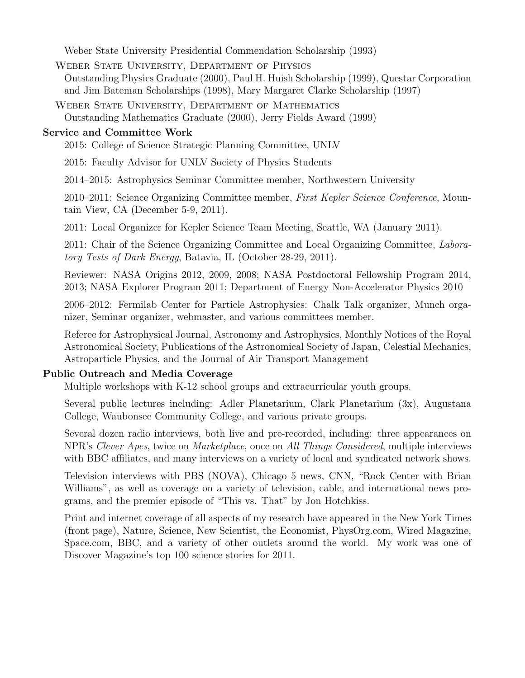Weber State University Presidential Commendation Scholarship (1993)

Weber State University, Department of Physics Outstanding Physics Graduate (2000), Paul H. Huish Scholarship (1999), Questar Corporation and Jim Bateman Scholarships (1998), Mary Margaret Clarke Scholarship (1997)

Weber State University, Department of Mathematics Outstanding Mathematics Graduate (2000), Jerry Fields Award (1999)

# Service and Committee Work

2015: College of Science Strategic Planning Committee, UNLV

2015: Faculty Advisor for UNLV Society of Physics Students

2014–2015: Astrophysics Seminar Committee member, Northwestern University

2010–2011: Science Organizing Committee member, First Kepler Science Conference, Mountain View, CA (December 5-9, 2011).

2011: Local Organizer for Kepler Science Team Meeting, Seattle, WA (January 2011).

2011: Chair of the Science Organizing Committee and Local Organizing Committee, Laboratory Tests of Dark Energy, Batavia, IL (October 28-29, 2011).

Reviewer: NASA Origins 2012, 2009, 2008; NASA Postdoctoral Fellowship Program 2014, 2013; NASA Explorer Program 2011; Department of Energy Non-Accelerator Physics 2010

2006–2012: Fermilab Center for Particle Astrophysics: Chalk Talk organizer, Munch organizer, Seminar organizer, webmaster, and various committees member.

Referee for Astrophysical Journal, Astronomy and Astrophysics, Monthly Notices of the Royal Astronomical Society, Publications of the Astronomical Society of Japan, Celestial Mechanics, Astroparticle Physics, and the Journal of Air Transport Management

# Public Outreach and Media Coverage

Multiple workshops with K-12 school groups and extracurricular youth groups.

Several public lectures including: Adler Planetarium, Clark Planetarium (3x), Augustana College, Waubonsee Community College, and various private groups.

Several dozen radio interviews, both live and pre-recorded, including: three appearances on NPR's Clever Apes, twice on Marketplace, once on All Things Considered, multiple interviews with BBC affiliates, and many interviews on a variety of local and syndicated network shows.

Television interviews with PBS (NOVA), Chicago 5 news, CNN, "Rock Center with Brian Williams", as well as coverage on a variety of television, cable, and international news programs, and the premier episode of "This vs. That" by Jon Hotchkiss.

Print and internet coverage of all aspects of my research have appeared in the New York Times (front page), Nature, Science, New Scientist, the Economist, PhysOrg.com, Wired Magazine, Space.com, BBC, and a variety of other outlets around the world. My work was one of Discover Magazine's top 100 science stories for 2011.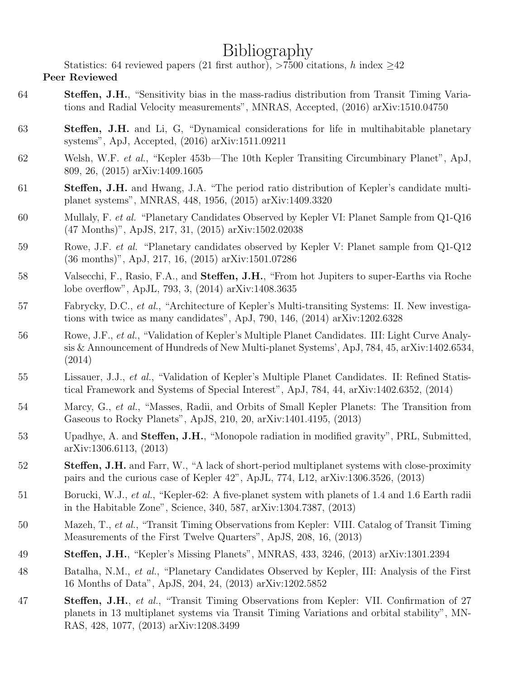# Bibliography

Statistics: 64 reviewed papers (21 first author), >7500 citations, h index  $\geq$ 42

# Peer Reviewed

- 64 Steffen, J.H., "Sensitivity bias in the mass-radius distribution from Transit Timing Variations and Radial Velocity measurements", MNRAS, Accepted, (2016) arXiv:1510.04750
- 63 Steffen, J.H. and Li, G, "Dynamical considerations for life in multihabitable planetary systems", ApJ, Accepted, (2016) arXiv:1511.09211
- 62 Welsh, W.F. et al., "Kepler 453b—The 10th Kepler Transiting Circumbinary Planet", ApJ, 809, 26, (2015) arXiv:1409.1605
- 61 Steffen, J.H. and Hwang, J.A. "The period ratio distribution of Kepler's candidate multiplanet systems", MNRAS, 448, 1956, (2015) arXiv:1409.3320
- 60 Mullaly, F. et al. "Planetary Candidates Observed by Kepler VI: Planet Sample from Q1-Q16 (47 Months)", ApJS, 217, 31, (2015) arXiv:1502.02038
- 59 Rowe, J.F. et al. "Planetary candidates observed by Kepler V: Planet sample from Q1-Q12 (36 months)", ApJ, 217, 16, (2015) arXiv:1501.07286
- 58 Valsecchi, F., Rasio, F.A., and Steffen, J.H., "From hot Jupiters to super-Earths via Roche lobe overflow", ApJL, 793, 3, (2014) arXiv:1408.3635
- 57 Fabrycky, D.C., et al., "Architecture of Kepler's Multi-transiting Systems: II. New investigations with twice as many candidates", ApJ, 790, 146, (2014) arXiv:1202.6328
- 56 Rowe, J.F., et al., "Validation of Kepler's Multiple Planet Candidates. III: Light Curve Analysis & Announcement of Hundreds of New Multi-planet Systems', ApJ, 784, 45, arXiv:1402.6534, (2014)
- 55 Lissauer, J.J., et al., "Validation of Kepler's Multiple Planet Candidates. II: Refined Statistical Framework and Systems of Special Interest", ApJ, 784, 44, arXiv:1402.6352, (2014)
- 54 Marcy, G., et al., "Masses, Radii, and Orbits of Small Kepler Planets: The Transition from Gaseous to Rocky Planets", ApJS, 210, 20, arXiv:1401.4195, (2013)
- 53 Upadhye, A. and Steffen, J.H., "Monopole radiation in modified gravity", PRL, Submitted, arXiv:1306.6113, (2013)
- 52 Steffen, J.H. and Farr, W., "A lack of short-period multiplanet systems with close-proximity pairs and the curious case of Kepler 42", ApJL, 774, L12, arXiv:1306.3526, (2013)
- 51 Borucki, W.J., et al., "Kepler-62: A five-planet system with planets of 1.4 and 1.6 Earth radii in the Habitable Zone", Science, 340, 587, arXiv:1304.7387, (2013)
- 50 Mazeh, T., et al., "Transit Timing Observations from Kepler: VIII. Catalog of Transit Timing Measurements of the First Twelve Quarters", ApJS, 208, 16, (2013)
- 49 Steffen, J.H., "Kepler's Missing Planets", MNRAS, 433, 3246, (2013) arXiv:1301.2394
- 48 Batalha, N.M., et al., "Planetary Candidates Observed by Kepler, III: Analysis of the First 16 Months of Data", ApJS, 204, 24, (2013) arXiv:1202.5852
- 47 Steffen, J.H., et al., "Transit Timing Observations from Kepler: VII. Confirmation of 27 planets in 13 multiplanet systems via Transit Timing Variations and orbital stability", MN-RAS, 428, 1077, (2013) arXiv:1208.3499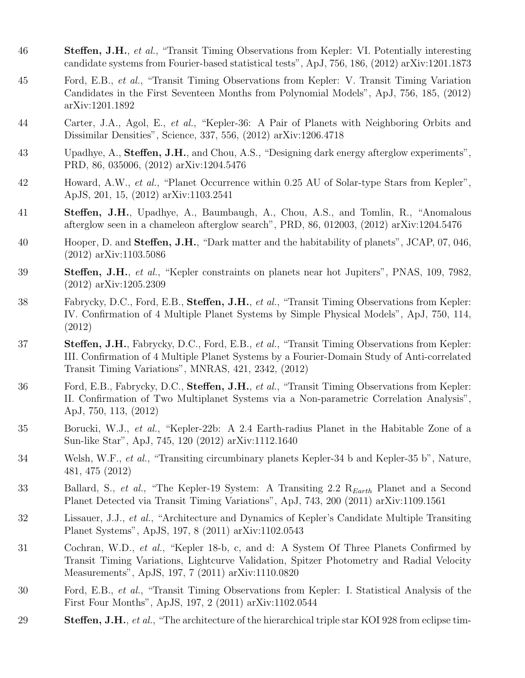- 46 Steffen, J.H., et al., "Transit Timing Observations from Kepler: VI. Potentially interesting candidate systems from Fourier-based statistical tests", ApJ, 756, 186, (2012) arXiv:1201.1873
- 45 Ford, E.B., et al., "Transit Timing Observations from Kepler: V. Transit Timing Variation Candidates in the First Seventeen Months from Polynomial Models", ApJ, 756, 185, (2012) arXiv:1201.1892
- 44 Carter, J.A., Agol, E., et al., "Kepler-36: A Pair of Planets with Neighboring Orbits and Dissimilar Densities", Science, 337, 556, (2012) arXiv:1206.4718
- 43 Upadhye, A., Steffen, J.H., and Chou, A.S., "Designing dark energy afterglow experiments", PRD, 86, 035006, (2012) arXiv:1204.5476
- 42 Howard, A.W., et al., "Planet Occurrence within 0.25 AU of Solar-type Stars from Kepler", ApJS, 201, 15, (2012) arXiv:1103.2541
- 41 Steffen, J.H., Upadhye, A., Baumbaugh, A., Chou, A.S., and Tomlin, R., "Anomalous afterglow seen in a chameleon afterglow search", PRD, 86, 012003, (2012) arXiv:1204.5476
- 40 Hooper, D. and Steffen, J.H., "Dark matter and the habitability of planets", JCAP, 07, 046, (2012) arXiv:1103.5086
- 39 Steffen, J.H., et al., "Kepler constraints on planets near hot Jupiters", PNAS, 109, 7982, (2012) arXiv:1205.2309
- 38 Fabrycky, D.C., Ford, E.B., Steffen, J.H., et al., "Transit Timing Observations from Kepler: IV. Confirmation of 4 Multiple Planet Systems by Simple Physical Models", ApJ, 750, 114, (2012)
- 37 Steffen, J.H., Fabrycky, D.C., Ford, E.B., et al., "Transit Timing Observations from Kepler: III. Confirmation of 4 Multiple Planet Systems by a Fourier-Domain Study of Anti-correlated Transit Timing Variations", MNRAS, 421, 2342, (2012)
- 36 Ford, E.B., Fabrycky, D.C., Steffen, J.H., et al., "Transit Timing Observations from Kepler: II. Confirmation of Two Multiplanet Systems via a Non-parametric Correlation Analysis", ApJ, 750, 113, (2012)
- 35 Borucki, W.J., et al., "Kepler-22b: A 2.4 Earth-radius Planet in the Habitable Zone of a Sun-like Star", ApJ, 745, 120 (2012) arXiv:1112.1640
- 34 Welsh, W.F., et al., "Transiting circumbinary planets Kepler-34 b and Kepler-35 b", Nature, 481, 475 (2012)
- 33 Ballard, S., et al., "The Kepler-19 System: A Transiting 2.2 R<sub>Earth</sub> Planet and a Second Planet Detected via Transit Timing Variations", ApJ, 743, 200 (2011) arXiv:1109.1561
- 32 Lissauer, J.J., et al., "Architecture and Dynamics of Kepler's Candidate Multiple Transiting Planet Systems", ApJS, 197, 8 (2011) arXiv:1102.0543
- 31 Cochran, W.D., et al., "Kepler 18-b, c, and d: A System Of Three Planets Confirmed by Transit Timing Variations, Lightcurve Validation, Spitzer Photometry and Radial Velocity Measurements", ApJS, 197, 7 (2011) arXiv:1110.0820
- 30 Ford, E.B., et al., "Transit Timing Observations from Kepler: I. Statistical Analysis of the First Four Months", ApJS, 197, 2 (2011) arXiv:1102.0544
- 29 Steffen, J.H., et al., "The architecture of the hierarchical triple star KOI 928 from eclipse tim-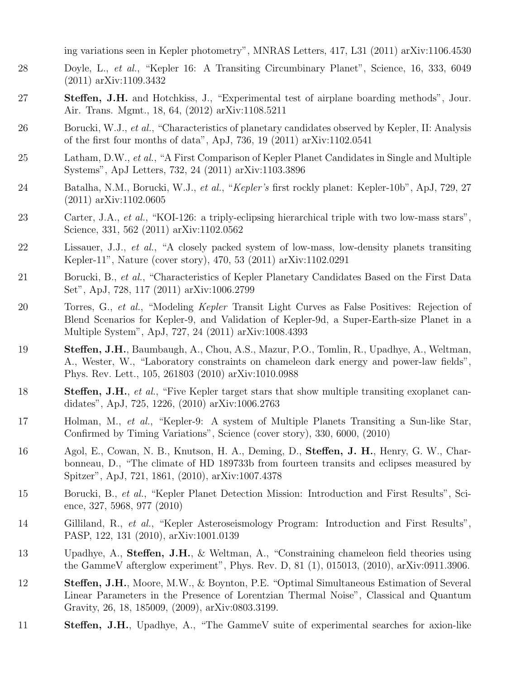ing variations seen in Kepler photometry", MNRAS Letters, 417, L31 (2011) arXiv:1106.4530

- 28 Doyle, L., et al., "Kepler 16: A Transiting Circumbinary Planet", Science, 16, 333, 6049 (2011) arXiv:1109.3432
- 27 Steffen, J.H. and Hotchkiss, J., "Experimental test of airplane boarding methods", Jour. Air. Trans. Mgmt., 18, 64, (2012) arXiv:1108.5211
- 26 Borucki, W.J., et al., "Characteristics of planetary candidates observed by Kepler, II: Analysis of the first four months of data", ApJ, 736, 19 (2011) arXiv:1102.0541
- 25 Latham, D.W., et al., "A First Comparison of Kepler Planet Candidates in Single and Multiple Systems", ApJ Letters, 732, 24 (2011) arXiv:1103.3896
- 24 Batalha, N.M., Borucki, W.J., et al., "Kepler's first rockly planet: Kepler-10b", ApJ, 729, 27 (2011) arXiv:1102.0605
- 23 Carter, J.A., et al., "KOI-126: a triply-eclipsing hierarchical triple with two low-mass stars", Science, 331, 562 (2011) arXiv:1102.0562
- 22 Lissauer, J.J., et al., "A closely packed system of low-mass, low-density planets transiting Kepler-11", Nature (cover story), 470, 53 (2011) arXiv:1102.0291
- 21 Borucki, B., et al., "Characteristics of Kepler Planetary Candidates Based on the First Data Set", ApJ, 728, 117 (2011) arXiv:1006.2799
- 20 Torres, G., et al., "Modeling Kepler Transit Light Curves as False Positives: Rejection of Blend Scenarios for Kepler-9, and Validation of Kepler-9d, a Super-Earth-size Planet in a Multiple System", ApJ, 727, 24 (2011) arXiv:1008.4393
- 19 Steffen, J.H., Baumbaugh, A., Chou, A.S., Mazur, P.O., Tomlin, R., Upadhye, A., Weltman, A., Wester, W., "Laboratory constraints on chameleon dark energy and power-law fields", Phys. Rev. Lett., 105, 261803 (2010) arXiv:1010.0988
- 18 Steffen, J.H., et al., "Five Kepler target stars that show multiple transiting exoplanet candidates", ApJ, 725, 1226, (2010) arXiv:1006.2763
- 17 Holman, M., et al., "Kepler-9: A system of Multiple Planets Transiting a Sun-like Star, Confirmed by Timing Variations", Science (cover story), 330, 6000, (2010)
- 16 Agol, E., Cowan, N. B., Knutson, H. A., Deming, D., Steffen, J. H., Henry, G. W., Charbonneau, D., "The climate of HD 189733b from fourteen transits and eclipses measured by Spitzer", ApJ, 721, 1861, (2010), arXiv:1007.4378
- 15 Borucki, B., et al., "Kepler Planet Detection Mission: Introduction and First Results", Science, 327, 5968, 977 (2010)
- 14 Gilliland, R., et al., "Kepler Asteroseismology Program: Introduction and First Results", PASP, 122, 131 (2010), arXiv:1001.0139
- 13 Upadhye, A., Steffen, J.H., & Weltman, A., "Constraining chameleon field theories using the GammeV afterglow experiment", Phys. Rev. D, 81 (1), 015013, (2010), arXiv:0911.3906.
- 12 Steffen, J.H., Moore, M.W., & Boynton, P.E. "Optimal Simultaneous Estimation of Several Linear Parameters in the Presence of Lorentzian Thermal Noise", Classical and Quantum Gravity, 26, 18, 185009, (2009), arXiv:0803.3199.
- 11 Steffen, J.H., Upadhye, A., "The GammeV suite of experimental searches for axion-like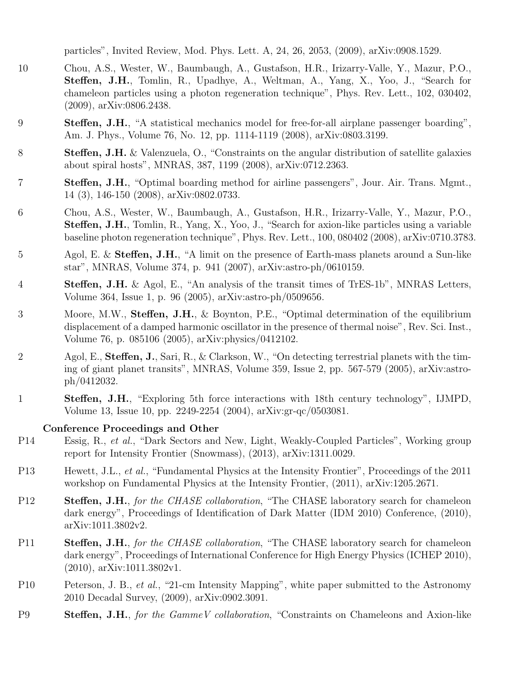particles", Invited Review, Mod. Phys. Lett. A, 24, 26, 2053, (2009), arXiv:0908.1529.

- 10 Chou, A.S., Wester, W., Baumbaugh, A., Gustafson, H.R., Irizarry-Valle, Y., Mazur, P.O., Steffen, J.H., Tomlin, R., Upadhye, A., Weltman, A., Yang, X., Yoo, J., "Search for chameleon particles using a photon regeneration technique", Phys. Rev. Lett., 102, 030402, (2009), arXiv:0806.2438.
- 9 Steffen, J.H., "A statistical mechanics model for free-for-all airplane passenger boarding", Am. J. Phys., Volume 76, No. 12, pp. 1114-1119 (2008), arXiv:0803.3199.
- 8 **Steffen, J.H.** & Valenzuela, O., "Constraints on the angular distribution of satellite galaxies about spiral hosts", MNRAS, 387, 1199 (2008), arXiv:0712.2363.
- 7 Steffen, J.H., "Optimal boarding method for airline passengers", Jour. Air. Trans. Mgmt., 14 (3), 146-150 (2008), arXiv:0802.0733.
- 6 Chou, A.S., Wester, W., Baumbaugh, A., Gustafson, H.R., Irizarry-Valle, Y., Mazur, P.O., Steffen, J.H., Tomlin, R., Yang, X., Yoo, J., "Search for axion-like particles using a variable baseline photon regeneration technique", Phys. Rev. Lett., 100, 080402 (2008), arXiv:0710.3783.
- 5 Agol, E. & Steffen, J.H., "A limit on the presence of Earth-mass planets around a Sun-like star", MNRAS, Volume 374, p. 941 (2007), arXiv:astro-ph/0610159.
- 4 Steffen, J.H. & Agol, E., "An analysis of the transit times of TrES-1b", MNRAS Letters, Volume 364, Issue 1, p. 96 (2005), arXiv:astro-ph/0509656.
- 3 Moore, M.W., **Steffen, J.H.**, & Boynton, P.E., "Optimal determination of the equilibrium displacement of a damped harmonic oscillator in the presence of thermal noise", Rev. Sci. Inst., Volume 76, p. 085106 (2005), arXiv:physics/0412102.
- 2 Agol, E., Steffen, J., Sari, R., & Clarkson, W., "On detecting terrestrial planets with the timing of giant planet transits", MNRAS, Volume 359, Issue 2, pp. 567-579 (2005), arXiv:astroph/0412032.
- 1 Steffen, J.H., "Exploring 5th force interactions with 18th century technology", IJMPD, Volume 13, Issue 10, pp. 2249-2254 (2004), arXiv:gr-qc/0503081.

# Conference Proceedings and Other

- P14 Essig, R., et al., "Dark Sectors and New, Light, Weakly-Coupled Particles", Working group report for Intensity Frontier (Snowmass), (2013), arXiv:1311.0029.
- P13 Hewett, J.L., et al., "Fundamental Physics at the Intensity Frontier", Proceedings of the 2011 workshop on Fundamental Physics at the Intensity Frontier, (2011), arXiv:1205.2671.
- P12 Steffen, J.H., for the CHASE collaboration, "The CHASE laboratory search for chameleon dark energy", Proceedings of Identification of Dark Matter (IDM 2010) Conference, (2010), arXiv:1011.3802v2.
- P11 Steffen, J.H., for the CHASE collaboration, "The CHASE laboratory search for chameleon dark energy", Proceedings of International Conference for High Energy Physics (ICHEP 2010), (2010), arXiv:1011.3802v1.
- P10 Peterson, J. B., et al., "21-cm Intensity Mapping", white paper submitted to the Astronomy 2010 Decadal Survey, (2009), arXiv:0902.3091.
- P9 Steffen, J.H., for the Gamme V collaboration, "Constraints on Chameleons and Axion-like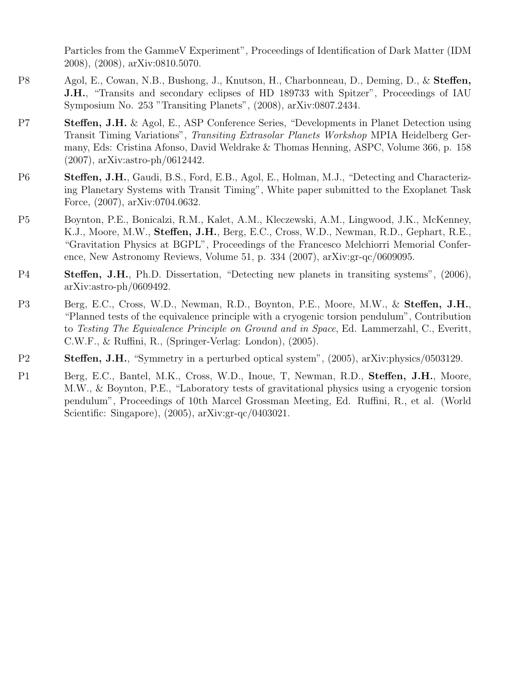Particles from the GammeV Experiment", Proceedings of Identification of Dark Matter (IDM 2008), (2008), arXiv:0810.5070.

- P8 Agol, E., Cowan, N.B., Bushong, J., Knutson, H., Charbonneau, D., Deming, D., & Steffen, J.H., "Transits and secondary eclipses of HD 189733 with Spitzer", Proceedings of IAU Symposium No. 253 "Transiting Planets", (2008), arXiv:0807.2434.
- P7 Steffen, J.H. & Agol, E., ASP Conference Series, "Developments in Planet Detection using Transit Timing Variations", Transiting Extrasolar Planets Workshop MPIA Heidelberg Germany, Eds: Cristina Afonso, David Weldrake & Thomas Henning, ASPC, Volume 366, p. 158 (2007), arXiv:astro-ph/0612442.
- P6 Steffen, J.H., Gaudi, B.S., Ford, E.B., Agol, E., Holman, M.J., "Detecting and Characterizing Planetary Systems with Transit Timing", White paper submitted to the Exoplanet Task Force, (2007), arXiv:0704.0632.
- P5 Boynton, P.E., Bonicalzi, R.M., Kalet, A.M., Kleczewski, A.M., Lingwood, J.K., McKenney, K.J., Moore, M.W., Steffen, J.H., Berg, E.C., Cross, W.D., Newman, R.D., Gephart, R.E., "Gravitation Physics at BGPL", Proceedings of the Francesco Melchiorri Memorial Conference, New Astronomy Reviews, Volume 51, p. 334 (2007), arXiv:gr-qc/0609095.
- P4 Steffen, J.H., Ph.D. Dissertation, "Detecting new planets in transiting systems", (2006), arXiv:astro-ph/0609492.
- P3 Berg, E.C., Cross, W.D., Newman, R.D., Boynton, P.E., Moore, M.W., & Steffen, J.H., "Planned tests of the equivalence principle with a cryogenic torsion pendulum", Contribution to Testing The Equivalence Principle on Ground and in Space, Ed. Lammerzahl, C., Everitt, C.W.F., & Ruffini, R., (Springer-Verlag: London), (2005).
- P2 Steffen, J.H., "Symmetry in a perturbed optical system", (2005), arXiv:physics/0503129.
- P1 Berg, E.C., Bantel, M.K., Cross, W.D., Inoue, T, Newman, R.D., Steffen, J.H., Moore, M.W., & Boynton, P.E., "Laboratory tests of gravitational physics using a cryogenic torsion pendulum", Proceedings of 10th Marcel Grossman Meeting, Ed. Ruffini, R., et al. (World Scientific: Singapore), (2005), arXiv:gr-qc/0403021.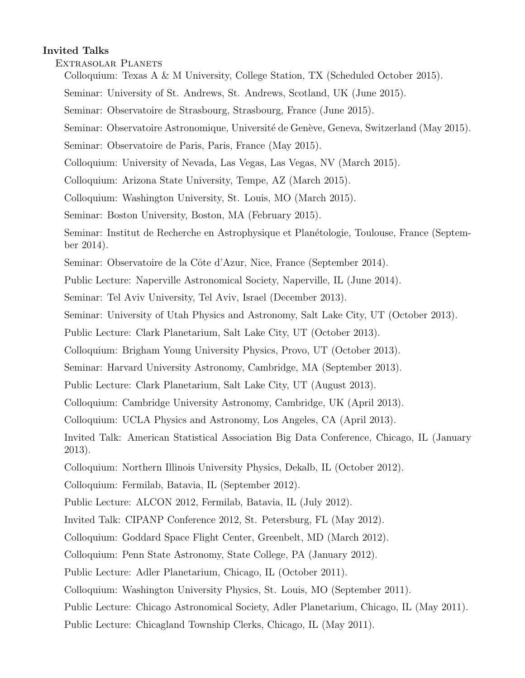# Invited Talks

Extrasolar Planets

- Colloquium: Texas A & M University, College Station, TX (Scheduled October 2015).
- Seminar: University of St. Andrews, St. Andrews, Scotland, UK (June 2015).
- Seminar: Observatoire de Strasbourg, Strasbourg, France (June 2015).
- Seminar: Observatoire Astronomique, Université de Genève, Geneva, Switzerland (May 2015).
- Seminar: Observatoire de Paris, Paris, France (May 2015).
- Colloquium: University of Nevada, Las Vegas, Las Vegas, NV (March 2015).
- Colloquium: Arizona State University, Tempe, AZ (March 2015).
- Colloquium: Washington University, St. Louis, MO (March 2015).
- Seminar: Boston University, Boston, MA (February 2015).
- Seminar: Institut de Recherche en Astrophysique et Planétologie, Toulouse, France (September 2014).
- Seminar: Observatoire de la Côte d'Azur, Nice, France (September 2014).
- Public Lecture: Naperville Astronomical Society, Naperville, IL (June 2014).
- Seminar: Tel Aviv University, Tel Aviv, Israel (December 2013).
- Seminar: University of Utah Physics and Astronomy, Salt Lake City, UT (October 2013).
- Public Lecture: Clark Planetarium, Salt Lake City, UT (October 2013).
- Colloquium: Brigham Young University Physics, Provo, UT (October 2013).
- Seminar: Harvard University Astronomy, Cambridge, MA (September 2013).
- Public Lecture: Clark Planetarium, Salt Lake City, UT (August 2013).
- Colloquium: Cambridge University Astronomy, Cambridge, UK (April 2013).
- Colloquium: UCLA Physics and Astronomy, Los Angeles, CA (April 2013).
- Invited Talk: American Statistical Association Big Data Conference, Chicago, IL (January 2013).
- Colloquium: Northern Illinois University Physics, Dekalb, IL (October 2012).
- Colloquium: Fermilab, Batavia, IL (September 2012).
- Public Lecture: ALCON 2012, Fermilab, Batavia, IL (July 2012).
- Invited Talk: CIPANP Conference 2012, St. Petersburg, FL (May 2012).
- Colloquium: Goddard Space Flight Center, Greenbelt, MD (March 2012).
- Colloquium: Penn State Astronomy, State College, PA (January 2012).
- Public Lecture: Adler Planetarium, Chicago, IL (October 2011).
- Colloquium: Washington University Physics, St. Louis, MO (September 2011).
- Public Lecture: Chicago Astronomical Society, Adler Planetarium, Chicago, IL (May 2011).
- Public Lecture: Chicagland Township Clerks, Chicago, IL (May 2011).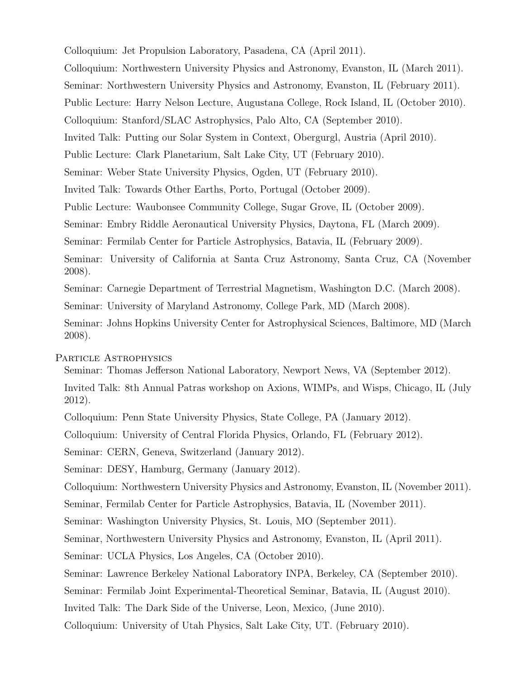Colloquium: Jet Propulsion Laboratory, Pasadena, CA (April 2011). Colloquium: Northwestern University Physics and Astronomy, Evanston, IL (March 2011). Seminar: Northwestern University Physics and Astronomy, Evanston, IL (February 2011). Public Lecture: Harry Nelson Lecture, Augustana College, Rock Island, IL (October 2010). Colloquium: Stanford/SLAC Astrophysics, Palo Alto, CA (September 2010). Invited Talk: Putting our Solar System in Context, Obergurgl, Austria (April 2010). Public Lecture: Clark Planetarium, Salt Lake City, UT (February 2010). Seminar: Weber State University Physics, Ogden, UT (February 2010). Invited Talk: Towards Other Earths, Porto, Portugal (October 2009). Public Lecture: Waubonsee Community College, Sugar Grove, IL (October 2009). Seminar: Embry Riddle Aeronautical University Physics, Daytona, FL (March 2009). Seminar: Fermilab Center for Particle Astrophysics, Batavia, IL (February 2009). Seminar: University of California at Santa Cruz Astronomy, Santa Cruz, CA (November 2008). Seminar: Carnegie Department of Terrestrial Magnetism, Washington D.C. (March 2008). Seminar: University of Maryland Astronomy, College Park, MD (March 2008). Seminar: Johns Hopkins University Center for Astrophysical Sciences, Baltimore, MD (March 2008).

## Particle Astrophysics

Seminar: Thomas Jefferson National Laboratory, Newport News, VA (September 2012).

Invited Talk: 8th Annual Patras workshop on Axions, WIMPs, and Wisps, Chicago, IL (July 2012).

Colloquium: Penn State University Physics, State College, PA (January 2012).

Colloquium: University of Central Florida Physics, Orlando, FL (February 2012).

Seminar: CERN, Geneva, Switzerland (January 2012).

Seminar: DESY, Hamburg, Germany (January 2012).

Colloquium: Northwestern University Physics and Astronomy, Evanston, IL (November 2011).

Seminar, Fermilab Center for Particle Astrophysics, Batavia, IL (November 2011).

Seminar: Washington University Physics, St. Louis, MO (September 2011).

Seminar, Northwestern University Physics and Astronomy, Evanston, IL (April 2011).

Seminar: UCLA Physics, Los Angeles, CA (October 2010).

Seminar: Lawrence Berkeley National Laboratory INPA, Berkeley, CA (September 2010).

Seminar: Fermilab Joint Experimental-Theoretical Seminar, Batavia, IL (August 2010).

Invited Talk: The Dark Side of the Universe, Leon, Mexico, (June 2010).

Colloquium: University of Utah Physics, Salt Lake City, UT. (February 2010).